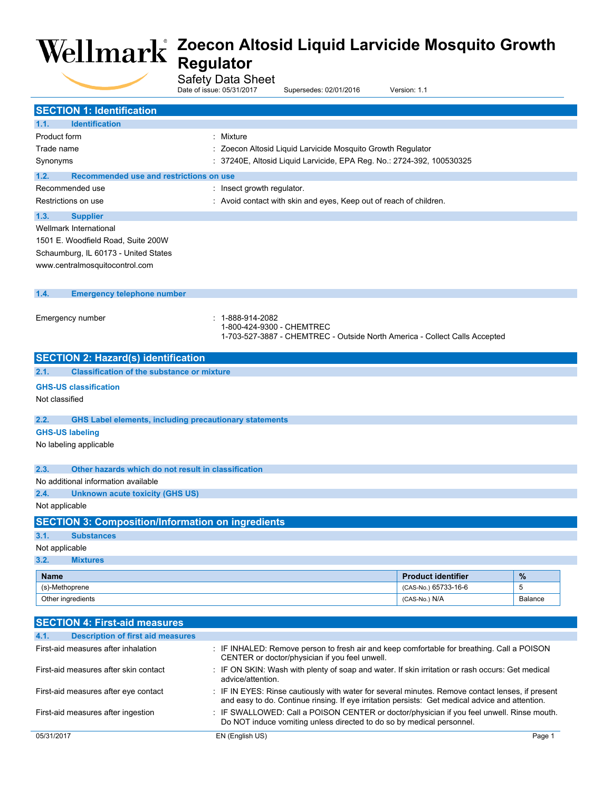Safety Data Sheet

|                                                                       | Date of issue: 05/31/2017                                                                                                                                        | Supersedes: 02/01/2016                                             | Version: 1.1                                                                                     |                |  |
|-----------------------------------------------------------------------|------------------------------------------------------------------------------------------------------------------------------------------------------------------|--------------------------------------------------------------------|--------------------------------------------------------------------------------------------------|----------------|--|
| <b>SECTION 1: Identification</b>                                      |                                                                                                                                                                  |                                                                    |                                                                                                  |                |  |
| 1.1.<br><b>Identification</b>                                         |                                                                                                                                                                  |                                                                    |                                                                                                  |                |  |
| Product form                                                          | : Mixture                                                                                                                                                        |                                                                    |                                                                                                  |                |  |
| Trade name                                                            |                                                                                                                                                                  |                                                                    |                                                                                                  |                |  |
|                                                                       | : Zoecon Altosid Liquid Larvicide Mosquito Growth Regulator                                                                                                      |                                                                    |                                                                                                  |                |  |
|                                                                       | : 37240E, Altosid Liquid Larvicide, EPA Reg. No.: 2724-392, 100530325<br>Synonyms                                                                                |                                                                    |                                                                                                  |                |  |
| 1.2.<br>Recommended use and restrictions on use                       |                                                                                                                                                                  |                                                                    |                                                                                                  |                |  |
| Recommended use                                                       | : Insect growth regulator.                                                                                                                                       |                                                                    |                                                                                                  |                |  |
| Restrictions on use                                                   |                                                                                                                                                                  | : Avoid contact with skin and eyes, Keep out of reach of children. |                                                                                                  |                |  |
| 1.3.<br><b>Supplier</b>                                               |                                                                                                                                                                  |                                                                    |                                                                                                  |                |  |
| Wellmark International                                                |                                                                                                                                                                  |                                                                    |                                                                                                  |                |  |
| 1501 E. Woodfield Road, Suite 200W                                    |                                                                                                                                                                  |                                                                    |                                                                                                  |                |  |
| Schaumburg, IL 60173 - United States                                  |                                                                                                                                                                  |                                                                    |                                                                                                  |                |  |
| www.centralmosquitocontrol.com                                        |                                                                                                                                                                  |                                                                    |                                                                                                  |                |  |
|                                                                       |                                                                                                                                                                  |                                                                    |                                                                                                  |                |  |
| 1.4.<br><b>Emergency telephone number</b>                             |                                                                                                                                                                  |                                                                    |                                                                                                  |                |  |
|                                                                       |                                                                                                                                                                  |                                                                    |                                                                                                  |                |  |
| Emergency number                                                      | : 1-888-914-2082                                                                                                                                                 |                                                                    |                                                                                                  |                |  |
|                                                                       |                                                                                                                                                                  | 1-800-424-9300 - CHEMTREC                                          |                                                                                                  |                |  |
|                                                                       |                                                                                                                                                                  |                                                                    | 1-703-527-3887 - CHEMTREC - Outside North America - Collect Calls Accepted                       |                |  |
| <b>SECTION 2: Hazard(s) identification</b>                            |                                                                                                                                                                  |                                                                    |                                                                                                  |                |  |
| <b>Classification of the substance or mixture</b><br>2.1.             |                                                                                                                                                                  |                                                                    |                                                                                                  |                |  |
|                                                                       |                                                                                                                                                                  |                                                                    |                                                                                                  |                |  |
| <b>GHS-US classification</b>                                          |                                                                                                                                                                  |                                                                    |                                                                                                  |                |  |
| Not classified                                                        |                                                                                                                                                                  |                                                                    |                                                                                                  |                |  |
| 2.2.<br><b>GHS Label elements, including precautionary statements</b> |                                                                                                                                                                  |                                                                    |                                                                                                  |                |  |
| <b>GHS-US labeling</b>                                                |                                                                                                                                                                  |                                                                    |                                                                                                  |                |  |
| No labeling applicable                                                |                                                                                                                                                                  |                                                                    |                                                                                                  |                |  |
|                                                                       |                                                                                                                                                                  |                                                                    |                                                                                                  |                |  |
| 2.3.<br>Other hazards which do not result in classification           |                                                                                                                                                                  |                                                                    |                                                                                                  |                |  |
| No additional information available                                   |                                                                                                                                                                  |                                                                    |                                                                                                  |                |  |
| 2.4.<br><b>Unknown acute toxicity (GHS US)</b>                        |                                                                                                                                                                  |                                                                    |                                                                                                  |                |  |
| Not applicable                                                        |                                                                                                                                                                  |                                                                    |                                                                                                  |                |  |
| <b>SECTION 3: Composition/Information on ingredients</b>              |                                                                                                                                                                  |                                                                    |                                                                                                  |                |  |
|                                                                       |                                                                                                                                                                  |                                                                    |                                                                                                  |                |  |
| 3.1.<br><b>Substances</b>                                             |                                                                                                                                                                  |                                                                    |                                                                                                  |                |  |
| Not applicable                                                        |                                                                                                                                                                  |                                                                    |                                                                                                  |                |  |
| 3.2.<br><b>Mixtures</b>                                               |                                                                                                                                                                  |                                                                    |                                                                                                  |                |  |
| <b>Name</b>                                                           |                                                                                                                                                                  |                                                                    | <b>Product identifier</b>                                                                        | $\%$           |  |
| (s)-Methoprene                                                        |                                                                                                                                                                  |                                                                    | (CAS-No.) 65733-16-6                                                                             | 5              |  |
| Other ingredients                                                     |                                                                                                                                                                  |                                                                    | (CAS-No.) N/A                                                                                    | <b>Balance</b> |  |
|                                                                       |                                                                                                                                                                  |                                                                    |                                                                                                  |                |  |
| <b>SECTION 4: First-aid measures</b>                                  |                                                                                                                                                                  |                                                                    |                                                                                                  |                |  |
| 4.1.<br><b>Description of first aid measures</b>                      |                                                                                                                                                                  |                                                                    |                                                                                                  |                |  |
| First-aid measures after inhalation                                   |                                                                                                                                                                  | CENTER or doctor/physician if you feel unwell.                     | : IF INHALED: Remove person to fresh air and keep comfortable for breathing. Call a POISON       |                |  |
| First-aid measures after skin contact                                 |                                                                                                                                                                  |                                                                    | : IF ON SKIN: Wash with plenty of soap and water. If skin irritation or rash occurs: Get medical |                |  |
|                                                                       | advice/attention.                                                                                                                                                |                                                                    |                                                                                                  |                |  |
| First-aid measures after eye contact                                  |                                                                                                                                                                  |                                                                    | : IF IN EYES: Rinse cautiously with water for several minutes. Remove contact lenses, if present |                |  |
|                                                                       |                                                                                                                                                                  |                                                                    | and easy to do. Continue rinsing. If eye irritation persists: Get medical advice and attention.  |                |  |
| First-aid measures after ingestion                                    | IF SWALLOWED: Call a POISON CENTER or doctor/physician if you feel unwell. Rinse mouth.<br>Do NOT induce vomiting unless directed to do so by medical personnel. |                                                                    |                                                                                                  |                |  |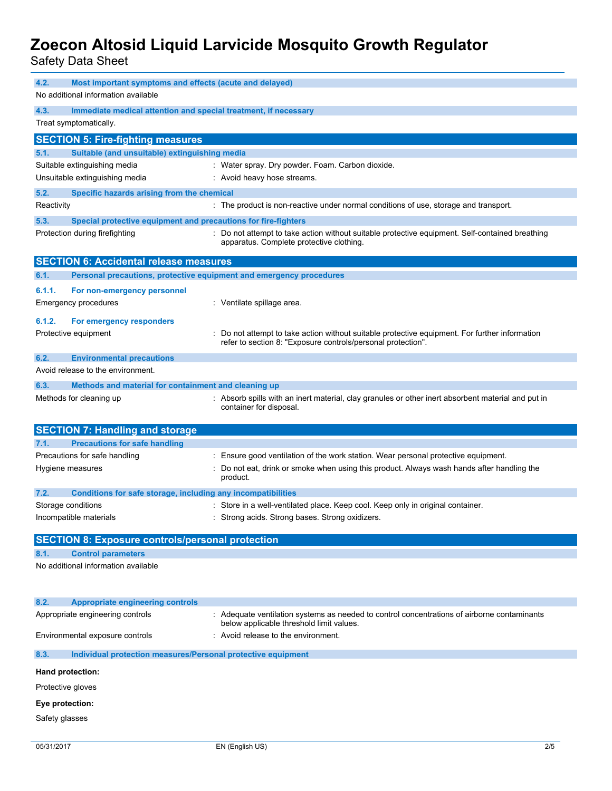Safety Data Sheet

| 4.2.<br>Most important symptoms and effects (acute and delayed)<br>No additional information available |                                                                     |                                                                                                                                                                |  |  |  |
|--------------------------------------------------------------------------------------------------------|---------------------------------------------------------------------|----------------------------------------------------------------------------------------------------------------------------------------------------------------|--|--|--|
| 4.3.                                                                                                   | Immediate medical attention and special treatment, if necessary     |                                                                                                                                                                |  |  |  |
|                                                                                                        | Treat symptomatically.                                              |                                                                                                                                                                |  |  |  |
|                                                                                                        | <b>SECTION 5: Fire-fighting measures</b>                            |                                                                                                                                                                |  |  |  |
| 5.1.                                                                                                   | Suitable (and unsuitable) extinguishing media                       |                                                                                                                                                                |  |  |  |
|                                                                                                        | Suitable extinguishing media                                        | : Water spray. Dry powder. Foam. Carbon dioxide.                                                                                                               |  |  |  |
|                                                                                                        | Unsuitable extinguishing media                                      | : Avoid heavy hose streams.                                                                                                                                    |  |  |  |
| 5.2.                                                                                                   | Specific hazards arising from the chemical                          |                                                                                                                                                                |  |  |  |
| Reactivity                                                                                             |                                                                     | : The product is non-reactive under normal conditions of use, storage and transport.                                                                           |  |  |  |
|                                                                                                        |                                                                     |                                                                                                                                                                |  |  |  |
| 5.3.                                                                                                   | Special protective equipment and precautions for fire-fighters      |                                                                                                                                                                |  |  |  |
|                                                                                                        | Protection during firefighting                                      | : Do not attempt to take action without suitable protective equipment. Self-contained breathing<br>apparatus. Complete protective clothing.                    |  |  |  |
|                                                                                                        | <b>SECTION 6: Accidental release measures</b>                       |                                                                                                                                                                |  |  |  |
| 6.1.                                                                                                   | Personal precautions, protective equipment and emergency procedures |                                                                                                                                                                |  |  |  |
| 6.1.1.                                                                                                 | For non-emergency personnel                                         |                                                                                                                                                                |  |  |  |
|                                                                                                        | Emergency procedures                                                | : Ventilate spillage area.                                                                                                                                     |  |  |  |
|                                                                                                        |                                                                     |                                                                                                                                                                |  |  |  |
| 6.1.2.                                                                                                 | For emergency responders                                            |                                                                                                                                                                |  |  |  |
|                                                                                                        | Protective equipment                                                | : Do not attempt to take action without suitable protective equipment. For further information<br>refer to section 8: "Exposure controls/personal protection". |  |  |  |
|                                                                                                        |                                                                     |                                                                                                                                                                |  |  |  |
| 6.2.                                                                                                   | <b>Environmental precautions</b>                                    |                                                                                                                                                                |  |  |  |
|                                                                                                        | Avoid release to the environment.                                   |                                                                                                                                                                |  |  |  |
| 6.3.                                                                                                   | Methods and material for containment and cleaning up                |                                                                                                                                                                |  |  |  |
|                                                                                                        | Methods for cleaning up                                             | : Absorb spills with an inert material, clay granules or other inert absorbent material and put in                                                             |  |  |  |
|                                                                                                        |                                                                     | container for disposal.                                                                                                                                        |  |  |  |
|                                                                                                        |                                                                     |                                                                                                                                                                |  |  |  |
|                                                                                                        | <b>SECTION 7: Handling and storage</b>                              |                                                                                                                                                                |  |  |  |
| 7.1.                                                                                                   | <b>Precautions for safe handling</b>                                |                                                                                                                                                                |  |  |  |
|                                                                                                        | Precautions for safe handling                                       | : Ensure good ventilation of the work station. Wear personal protective equipment.                                                                             |  |  |  |
|                                                                                                        | Hygiene measures                                                    | Do not eat, drink or smoke when using this product. Always wash hands after handling the                                                                       |  |  |  |
|                                                                                                        |                                                                     | product.                                                                                                                                                       |  |  |  |
| 7.2.                                                                                                   | Conditions for safe storage, including any incompatibilities        |                                                                                                                                                                |  |  |  |
|                                                                                                        | Storage conditions                                                  | Store in a well-ventilated place. Keep cool. Keep only in original container.                                                                                  |  |  |  |
|                                                                                                        | Incompatible materials                                              | Strong acids. Strong bases. Strong oxidizers.                                                                                                                  |  |  |  |
|                                                                                                        |                                                                     |                                                                                                                                                                |  |  |  |
|                                                                                                        | <b>SECTION 8: Exposure controls/personal protection</b>             |                                                                                                                                                                |  |  |  |
| 8.1.                                                                                                   | <b>Control parameters</b>                                           |                                                                                                                                                                |  |  |  |
|                                                                                                        | No additional information available                                 |                                                                                                                                                                |  |  |  |
|                                                                                                        |                                                                     |                                                                                                                                                                |  |  |  |
|                                                                                                        |                                                                     |                                                                                                                                                                |  |  |  |
| 8.2.                                                                                                   | <b>Appropriate engineering controls</b>                             |                                                                                                                                                                |  |  |  |
|                                                                                                        | Appropriate engineering controls                                    | : Adequate ventilation systems as needed to control concentrations of airborne contaminants                                                                    |  |  |  |
|                                                                                                        | Environmental exposure controls                                     | below applicable threshold limit values.<br>: Avoid release to the environment.                                                                                |  |  |  |
| 8.3.                                                                                                   | Individual protection measures/Personal protective equipment        |                                                                                                                                                                |  |  |  |
|                                                                                                        |                                                                     |                                                                                                                                                                |  |  |  |
|                                                                                                        | Hand protection:                                                    |                                                                                                                                                                |  |  |  |
| Protective gloves                                                                                      |                                                                     |                                                                                                                                                                |  |  |  |
| Eye protection:                                                                                        |                                                                     |                                                                                                                                                                |  |  |  |
| Safety glasses                                                                                         |                                                                     |                                                                                                                                                                |  |  |  |
|                                                                                                        |                                                                     |                                                                                                                                                                |  |  |  |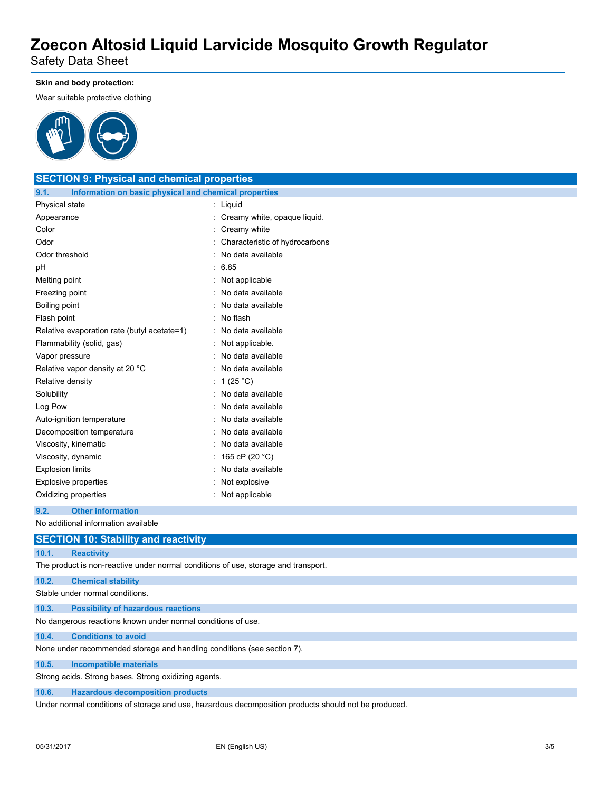Safety Data Sheet

#### **Skin and body protection:**

Wear suitable protective clothing



## **SECTION 9: Physical and chemical properties 9.1. Information on basic physical and chemical properties** Physical state : Liquid Appearance **in the case of the Creamy white, opaque liquid.** Creamy white, opaque liquid. Color : Creamy white : Creamy white Odor **Characteristic of hydrocarbons Characteristic of hydrocarbons** Odor threshold **in the set of the set of the set of the set of the set of the set of the set of the set of the set of the set of the set of the set of the set of the set of the set of the set of the set of the set of the s** pH : 6.85 Melting point **: Not applicable** Freezing point **in the case of the Contract Contract Contract Contract Contract Contract Contract Contract Contract Contract Contract Contract Contract Contract Contract Contract Contract Contract Contract Contract Contrac** Boiling point **in the case of the case of the case of the case of the case of the case of the case of the case of the case of the case of the case of the case of the case of the case of the case of the case of the case of** Flash point : No flash Relative evaporation rate (butyl acetate=1) : No data available Flammability (solid, gas) : Not applicable. Vapor pressure in the set of the set of the set of the Vapor pressure in the set of the set of the Vapor in the Vapor set of the Vapor set of the Vapor set of the Vapor set of the Vapor set of the Vapor set of the Vapor se Relative vapor density at 20 °C : No data available Relative density : 1 (25 °C) Solubility : No data available Log Pow : No data available Auto-ignition temperature : No data available Decomposition temperature : No data available Viscosity, kinematic **intervalse in the Contract Contract Contract Contract Contract Contract Contract Contract Contract Contract Contract Contract Contract Contract Contract Contract Contract Contract Contract Contract Co** Viscosity, dynamic : 165 cP (20 °C) Explosion limits **Explosion** limits **in the set of the set of the set of the set of the set of the set of the set of the set of the set of the set of the set of the set of the set of the set of the set of the set of the se** Explosive properties in the state of the state of the state of the state of the state of the state of the state of the state of the state of the state of the state of the state of the state of the state of the state of the Oxidizing properties in the state of the Society of the Society of the Society of the Society of the Society of the Society of the Society of the Society of the Society of the Society of the Society of the Society of the S **9.2. Other information**

### No additional information available

# **SECTION 10: Stability and reactivity**

**10.1. Reactivity**

The product is non-reactive under normal conditions of use, storage and transport.

#### **10.2. Chemical stability**

Stable under normal conditions.

**10.3. Possibility of hazardous reactions**

No dangerous reactions known under normal conditions of use.

#### **10.4. Conditions to avoid**

None under recommended storage and handling conditions (see section 7).

**10.5. Incompatible materials**

Strong acids. Strong bases. Strong oxidizing agents.

**10.6. Hazardous decomposition products**

Under normal conditions of storage and use, hazardous decomposition products should not be produced.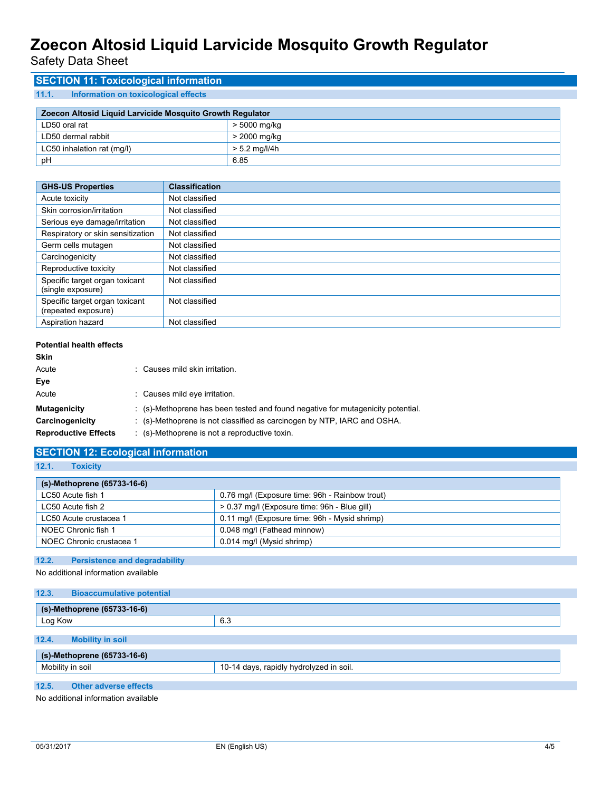Safety Data Sheet

## **SECTION 11: Toxicological information**

### **11.1. Information on toxicological effects**

| Zoecon Altosid Liquid Larvicide Mosquito Growth Regulator |               |  |
|-----------------------------------------------------------|---------------|--|
| LD50 oral rat                                             | > 5000 mg/kg  |  |
| LD50 dermal rabbit                                        | > 2000 mg/kg  |  |
| LC50 inhalation rat (mg/l)                                | > 5.2 mg/l/4h |  |
| рH                                                        | 6.85          |  |

| <b>GHS-US Properties</b>                              | <b>Classification</b> |
|-------------------------------------------------------|-----------------------|
| Acute toxicity                                        | Not classified        |
| Skin corrosion/irritation                             | Not classified        |
| Serious eye damage/irritation                         | Not classified        |
| Respiratory or skin sensitization                     | Not classified        |
| Germ cells mutagen                                    | Not classified        |
| Carcinogenicity                                       | Not classified        |
| Reproductive toxicity                                 | Not classified        |
| Specific target organ toxicant<br>(single exposure)   | Not classified        |
| Specific target organ toxicant<br>(repeated exposure) | Not classified        |
| Aspiration hazard                                     | Not classified        |

#### **Potential health effects**

| Skin                        |                                                                                            |
|-----------------------------|--------------------------------------------------------------------------------------------|
| Acute                       | : Causes mild skin irritation.                                                             |
| Eye                         |                                                                                            |
| Acute                       | : Causes mild eye irritation.                                                              |
| <b>Mutagenicity</b>         | $\therefore$ (s)-Methoprene has been tested and found negative for mutagenicity potential. |
| Carcinogenicity             | : (s)-Methoprene is not classified as carcinogen by NTP, IARC and OSHA.                    |
| <b>Reproductive Effects</b> | $\therefore$ (s)-Methoprene is not a reproductive toxin.                                   |

# **SECTION 12: Ecological information**

**12.1. Toxicity**

| (s)-Methoprene (65733-16-6) |                                                |
|-----------------------------|------------------------------------------------|
| LC50 Acute fish 1           | 0.76 mg/l (Exposure time: 96h - Rainbow trout) |
| LC50 Acute fish 2           | > 0.37 mg/l (Exposure time: 96h - Blue gill)   |
| LC50 Acute crustacea 1      | 0.11 mg/l (Exposure time: 96h - Mysid shrimp)  |
| NOEC Chronic fish 1         | 0.048 mg/l (Fathead minnow)                    |
| NOEC Chronic crustacea 1    | 0.014 mg/l (Mysid shrimp)                      |

### **12.2. Persistence and degradability**

No additional information available

| 12.3.<br><b>Bioaccumulative potential</b> |                                         |  |  |  |
|-------------------------------------------|-----------------------------------------|--|--|--|
|                                           |                                         |  |  |  |
| (s)-Methoprene (65733-16-6)               |                                         |  |  |  |
| Log Kow                                   | 6.3                                     |  |  |  |
|                                           |                                         |  |  |  |
| 12.4.<br><b>Mobility in soil</b>          |                                         |  |  |  |
| (s)-Methoprene (65733-16-6)               |                                         |  |  |  |
| Mobility in soil                          | 10-14 days, rapidly hydrolyzed in soil. |  |  |  |
|                                           |                                         |  |  |  |
| 12.5.<br><b>Other adverse effects</b>     |                                         |  |  |  |

No additional information available